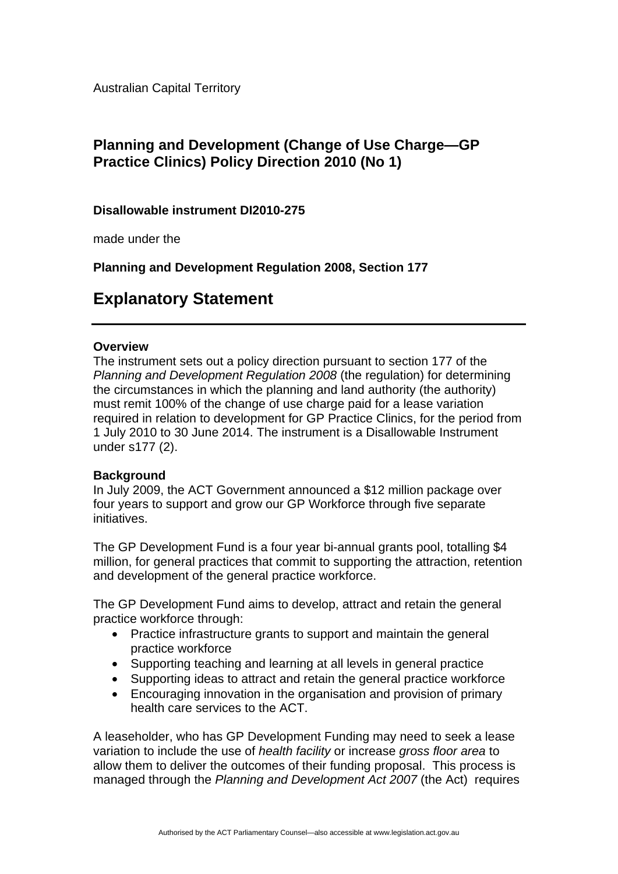Australian Capital Territory

## **Planning and Development (Change of Use Charge—GP Practice Clinics) Policy Direction 2010 (No 1)**

## **Disallowable instrument DI2010-275**

made under the

**Planning and Development Regulation 2008, Section 177** 

# **Explanatory Statement**

### **Overview**

The instrument sets out a policy direction pursuant to section 177 of the *Planning and Development Regulation 2008* (the regulation) for determining the circumstances in which the planning and land authority (the authority) must remit 100% of the change of use charge paid for a lease variation required in relation to development for GP Practice Clinics, for the period from 1 July 2010 to 30 June 2014. The instrument is a Disallowable Instrument under s177 (2).

#### **Background**

In July 2009, the ACT Government announced a \$12 million package over four years to support and grow our GP Workforce through five separate initiatives.

The GP Development Fund is a four year bi-annual grants pool, totalling \$4 million, for general practices that commit to supporting the attraction, retention and development of the general practice workforce.

The GP Development Fund aims to develop, attract and retain the general practice workforce through:

- Practice infrastructure grants to support and maintain the general practice workforce
- Supporting teaching and learning at all levels in general practice
- Supporting ideas to attract and retain the general practice workforce
- Encouraging innovation in the organisation and provision of primary health care services to the ACT.

A leaseholder, who has GP Development Funding may need to seek a lease variation to include the use of *health facility* or increase *gross floor area* to allow them to deliver the outcomes of their funding proposal. This process is managed through the *Planning and Development Act 2007* (the Act) requires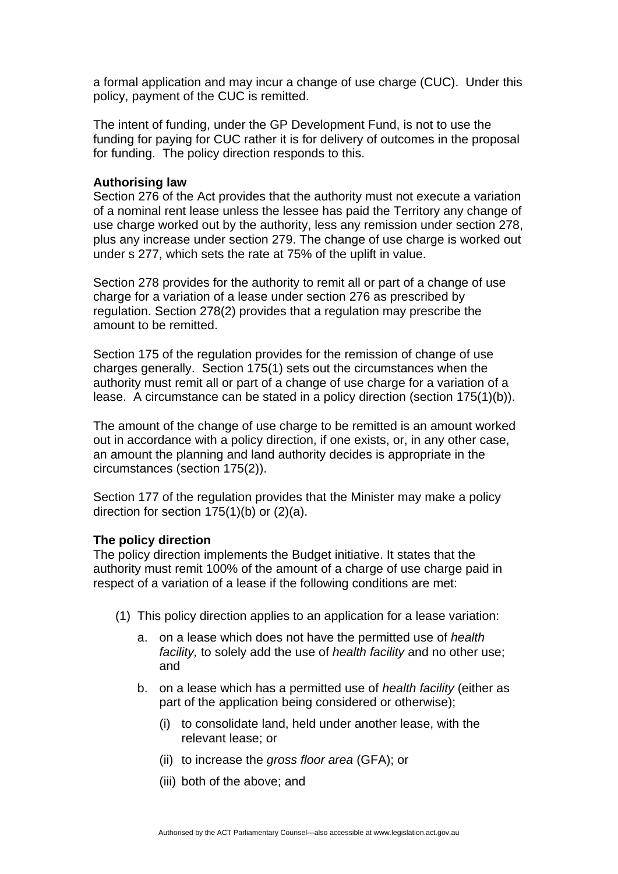a formal application and may incur a change of use charge (CUC). Under this policy, payment of the CUC is remitted.

The intent of funding, under the GP Development Fund, is not to use the funding for paying for CUC rather it is for delivery of outcomes in the proposal for funding. The policy direction responds to this.

#### **Authorising law**

Section 276 of the Act provides that the authority must not execute a variation of a nominal rent lease unless the lessee has paid the Territory any change of use charge worked out by the authority, less any remission under section 278, plus any increase under section 279. The change of use charge is worked out under s 277, which sets the rate at 75% of the uplift in value.

Section 278 provides for the authority to remit all or part of a change of use charge for a variation of a lease under section 276 as prescribed by regulation. Section 278(2) provides that a regulation may prescribe the amount to be remitted.

Section 175 of the regulation provides for the remission of change of use charges generally. Section 175(1) sets out the circumstances when the authority must remit all or part of a change of use charge for a variation of a lease. A circumstance can be stated in a policy direction (section 175(1)(b)).

The amount of the change of use charge to be remitted is an amount worked out in accordance with a policy direction, if one exists, or, in any other case, an amount the planning and land authority decides is appropriate in the circumstances (section 175(2)).

Section 177 of the regulation provides that the Minister may make a policy direction for section 175(1)(b) or (2)(a).

#### **The policy direction**

The policy direction implements the Budget initiative. It states that the authority must remit 100% of the amount of a charge of use charge paid in respect of a variation of a lease if the following conditions are met:

- (1) This policy direction applies to an application for a lease variation:
	- a. on a lease which does not have the permitted use of *health facility,* to solely add the use of *health facility* and no other use; and
	- b. on a lease which has a permitted use of *health facility* (either as part of the application being considered or otherwise);
		- (i) to consolidate land, held under another lease, with the relevant lease; or
		- (ii) to increase the *gross floor area* (GFA); or
		- (iii) both of the above; and